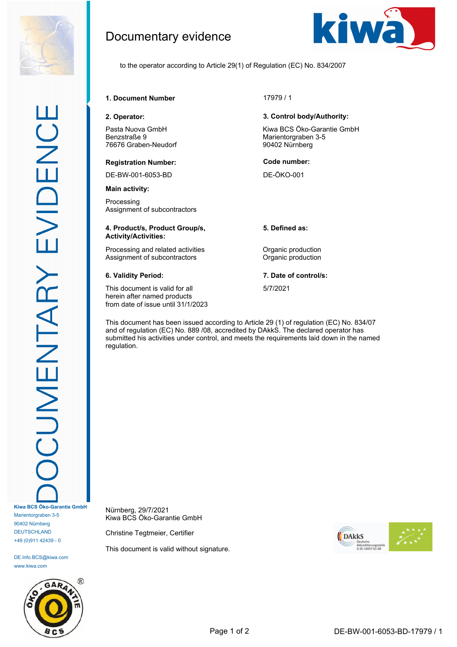

DE.Info.BCS@kiwa.com www.kiwa.com



Documentary evidence



to the operator according to Article 29(1) of Regulation (EC) No. 834/2007

**1. Document Number** 17979 / 1

Pasta Nuova GmbH Benzstraße 9 76676 Graben-Neudorf

## **Registration Number: Code number:**

DE-BW-001-6053-BD DE-ÖKO-001

**Main activity:**

Processing Assignment of subcontractors

## **4. Product/s, Product Group/s, Activity/Activities:**

Processing and related activities **Constanting Construction** Assignment of subcontractors **Contractors** Organic production

This document is valid for all herein after named products from date of issue until 31/1/2023

## **2. Operator: 3. Control body/Authority:**

Kiwa BCS Öko-Garantie GmbH Marientorgraben 3-5 90402 Nürnberg

**5. Defined as:**

**6. Validity Period: 7. Date of control/s:**

5/7/2021

This document has been issued according to Article 29 (1) of regulation (EC) No. 834/07 and of regulation (EC) No. 889 /08, accredited by DAkkS. The declared operator has submitted his activities under control, and meets the requirements laid down in the named regulation.

Nürnberg, 29/7/2021 Kiwa BCS Öko-Garantie GmbH

Christine Tegtmeier, Certifier

This document is valid without signature.